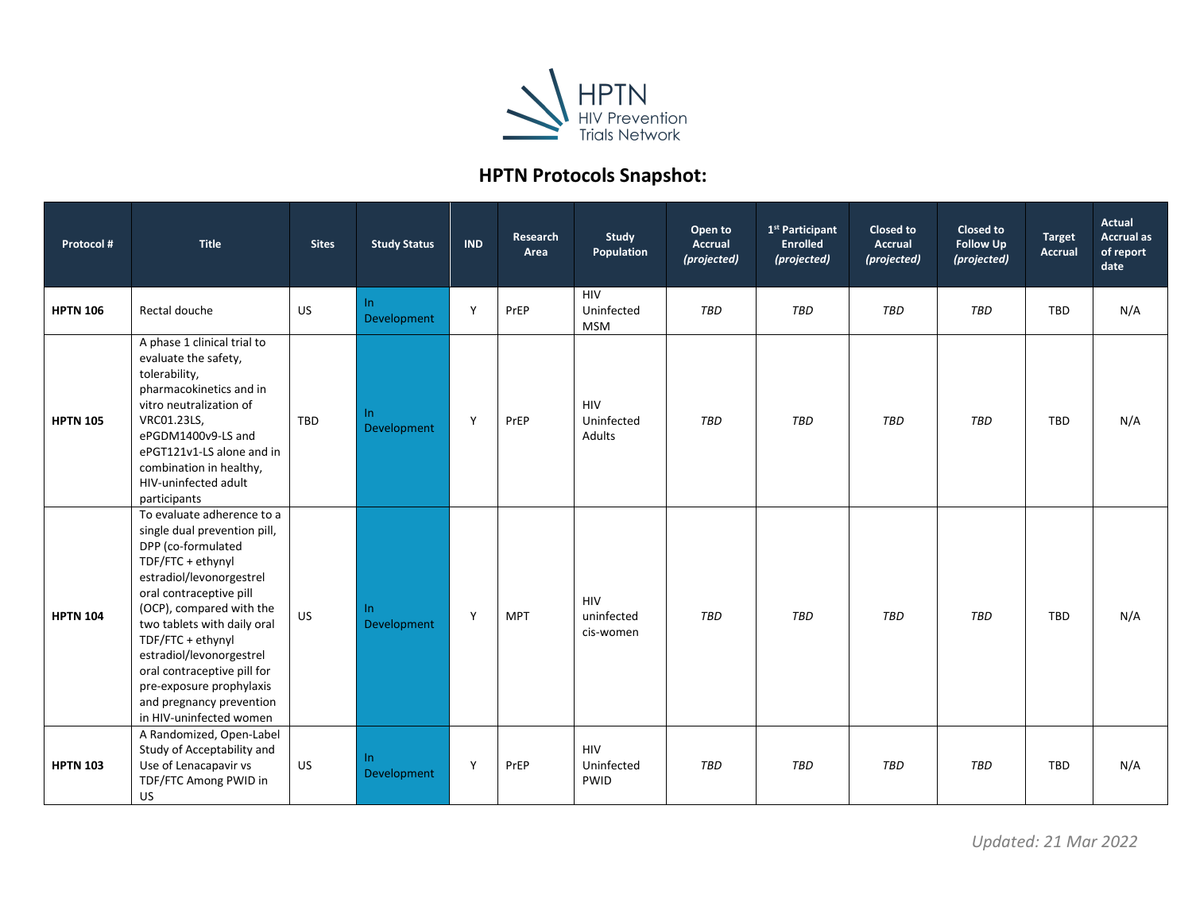

## **HPTN Protocols Snapshot:**

| Protocol #      | <b>Title</b>                                                                                                                                                                                                                                                                                                                                                                               | <b>Sites</b> | <b>Study Status</b> | <b>IND</b> | Research<br>Area | Study<br>Population                     | Open to<br><b>Accrual</b><br>(projected) | 1 <sup>st</sup> Participant<br><b>Enrolled</b><br>(projected) | Closed to<br><b>Accrual</b><br>(projected) | <b>Closed to</b><br><b>Follow Up</b><br>(projected) | <b>Target</b><br><b>Accrual</b> | Actual<br><b>Accrual as</b><br>of report<br>date |
|-----------------|--------------------------------------------------------------------------------------------------------------------------------------------------------------------------------------------------------------------------------------------------------------------------------------------------------------------------------------------------------------------------------------------|--------------|---------------------|------------|------------------|-----------------------------------------|------------------------------------------|---------------------------------------------------------------|--------------------------------------------|-----------------------------------------------------|---------------------------------|--------------------------------------------------|
| <b>HPTN 106</b> | Rectal douche                                                                                                                                                                                                                                                                                                                                                                              | US           | In.<br>Development  | Y          | PrEP             | <b>HIV</b><br>Uninfected<br><b>MSM</b>  | <b>TBD</b>                               | TBD                                                           | <b>TBD</b>                                 | TBD                                                 | <b>TBD</b>                      | N/A                                              |
| <b>HPTN 105</b> | A phase 1 clinical trial to<br>evaluate the safety,<br>tolerability,<br>pharmacokinetics and in<br>vitro neutralization of<br>VRC01.23LS,<br>ePGDM1400v9-LS and<br>ePGT121v1-LS alone and in<br>combination in healthy,<br>HIV-uninfected adult<br>participants                                                                                                                            | <b>TBD</b>   | In.<br>Development  | Y          | PrEP             | <b>HIV</b><br>Uninfected<br>Adults      | <b>TBD</b>                               | TBD                                                           | <b>TBD</b>                                 | TBD                                                 | <b>TBD</b>                      | N/A                                              |
| <b>HPTN 104</b> | To evaluate adherence to a<br>single dual prevention pill,<br>DPP (co-formulated<br>TDF/FTC + ethynyl<br>estradiol/levonorgestrel<br>oral contraceptive pill<br>(OCP), compared with the<br>two tablets with daily oral<br>TDF/FTC + ethynyl<br>estradiol/levonorgestrel<br>oral contraceptive pill for<br>pre-exposure prophylaxis<br>and pregnancy prevention<br>in HIV-uninfected women | US           | In.<br>Development  | Y          | <b>MPT</b>       | <b>HIV</b><br>uninfected<br>cis-women   | <b>TBD</b>                               | TBD                                                           | <b>TBD</b>                                 | TBD                                                 | <b>TBD</b>                      | N/A                                              |
| <b>HPTN 103</b> | A Randomized, Open-Label<br>Study of Acceptability and<br>Use of Lenacapavir vs<br>TDF/FTC Among PWID in<br><b>US</b>                                                                                                                                                                                                                                                                      | US           | In.<br>Development  | Y          | PrEP             | <b>HIV</b><br>Uninfected<br><b>PWID</b> | TBD                                      | <b>TBD</b>                                                    | <b>TBD</b>                                 | TBD                                                 | <b>TBD</b>                      | N/A                                              |

*Updated: 21 Mar 2022*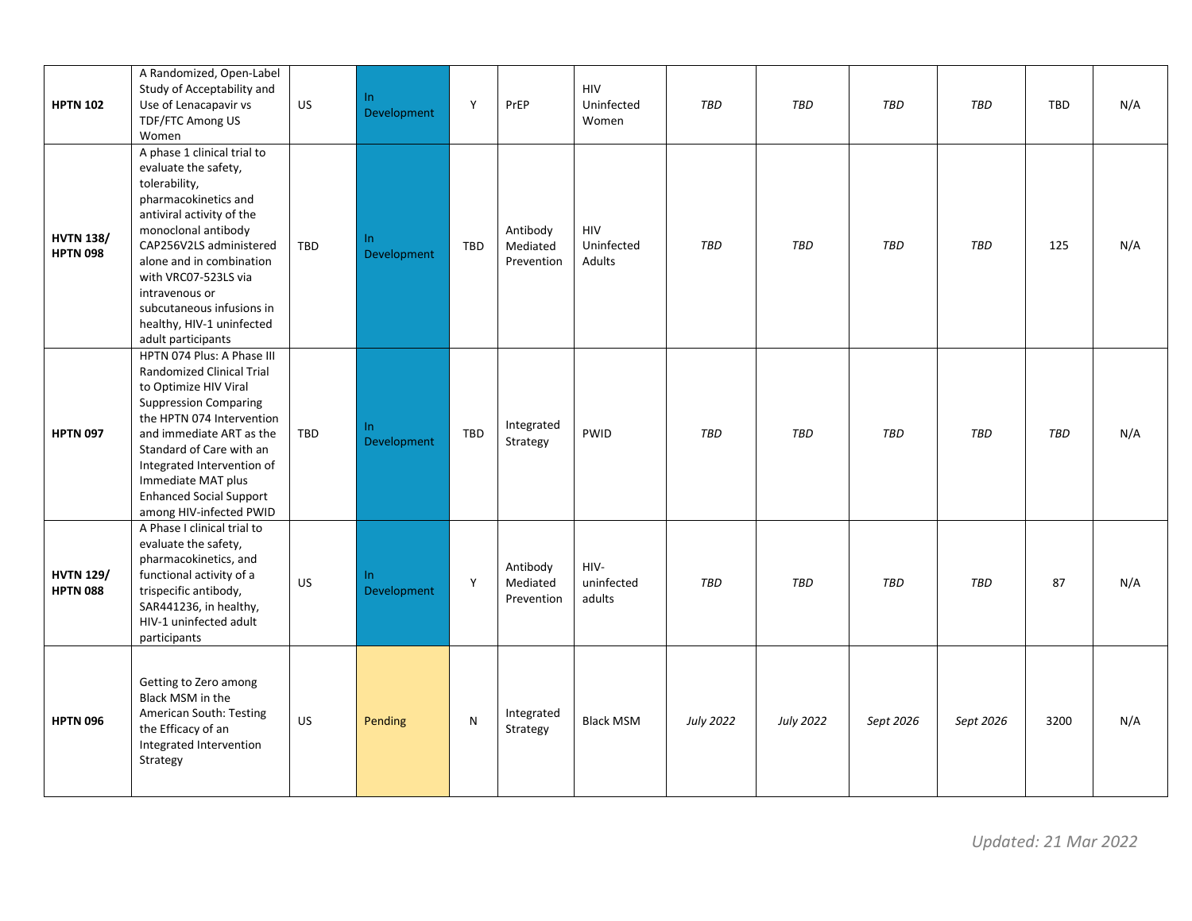| <b>HPTN 102</b>                     | A Randomized, Open-Label<br>Study of Acceptability and<br>Use of Lenacapavir vs<br>TDF/FTC Among US<br>Women                                                                                                                                                                                                                      | <b>US</b> | In<br>Development  | Y          | PrEP                               | <b>HIV</b><br>Uninfected<br>Women  | TBD              | TBD              | <b>TBD</b> | TBD        | TBD  | N/A |
|-------------------------------------|-----------------------------------------------------------------------------------------------------------------------------------------------------------------------------------------------------------------------------------------------------------------------------------------------------------------------------------|-----------|--------------------|------------|------------------------------------|------------------------------------|------------------|------------------|------------|------------|------|-----|
| <b>HVTN 138/</b><br><b>HPTN 098</b> | A phase 1 clinical trial to<br>evaluate the safety,<br>tolerability,<br>pharmacokinetics and<br>antiviral activity of the<br>monoclonal antibody<br>CAP256V2LS administered<br>alone and in combination<br>with VRC07-523LS via<br>intravenous or<br>subcutaneous infusions in<br>healthy, HIV-1 uninfected<br>adult participants | TBD       | In.<br>Development | <b>TBD</b> | Antibody<br>Mediated<br>Prevention | <b>HIV</b><br>Uninfected<br>Adults | TBD              | TBD              | TBD        | <b>TBD</b> | 125  | N/A |
| <b>HPTN 097</b>                     | HPTN 074 Plus: A Phase III<br>Randomized Clinical Trial<br>to Optimize HIV Viral<br><b>Suppression Comparing</b><br>the HPTN 074 Intervention<br>and immediate ART as the<br>Standard of Care with an<br>Integrated Intervention of<br>Immediate MAT plus<br><b>Enhanced Social Support</b><br>among HIV-infected PWID            | TBD       | In<br>Development  | <b>TBD</b> | Integrated<br>Strategy             | <b>PWID</b>                        | TBD              | TBD              | TBD        | TBD        | TBD  | N/A |
| <b>HVTN 129/</b><br><b>HPTN 088</b> | A Phase I clinical trial to<br>evaluate the safety,<br>pharmacokinetics, and<br>functional activity of a<br>trispecific antibody,<br>SAR441236, in healthy,<br>HIV-1 uninfected adult<br>participants                                                                                                                             | <b>US</b> | In<br>Development  | Y          | Antibody<br>Mediated<br>Prevention | HIV-<br>uninfected<br>adults       | TBD              | TBD              | TBD        | <b>TBD</b> | 87   | N/A |
| <b>HPTN 096</b>                     | Getting to Zero among<br>Black MSM in the<br>American South: Testing<br>the Efficacy of an<br>Integrated Intervention<br>Strategy                                                                                                                                                                                                 | <b>US</b> | Pending            | N          | Integrated<br>Strategy             | <b>Black MSM</b>                   | <b>July 2022</b> | <b>July 2022</b> | Sept 2026  | Sept 2026  | 3200 | N/A |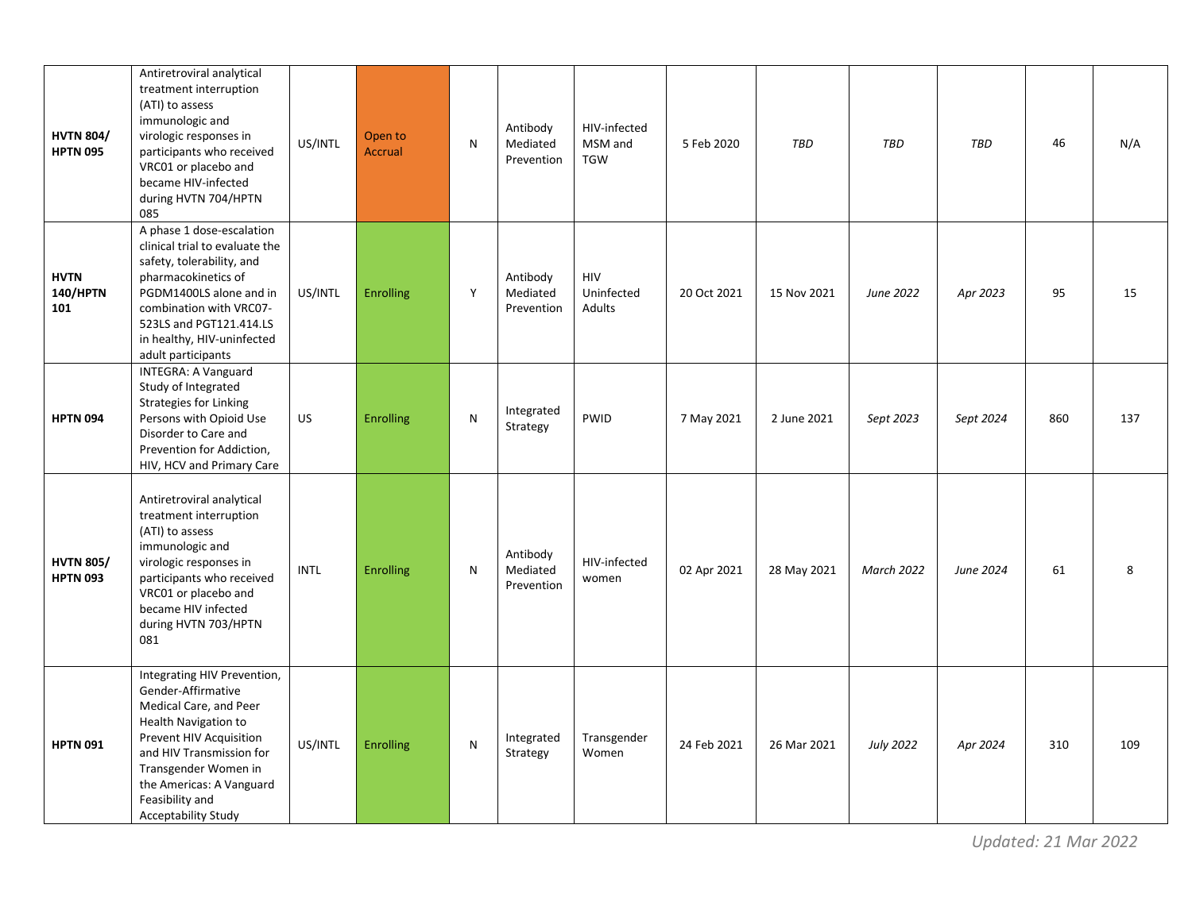| <b>HVTN 804/</b><br><b>HPTN 095</b>   | Antiretroviral analytical<br>treatment interruption<br>(ATI) to assess<br>immunologic and<br>virologic responses in<br>participants who received<br>VRC01 or placebo and<br>became HIV-infected<br>during HVTN 704/HPTN<br>085                           | US/INTL     | Open to<br><b>Accrual</b> | N | Antibody<br>Mediated<br>Prevention | HIV-infected<br>MSM and<br><b>TGW</b> | 5 Feb 2020  | TBD         | TBD               | <b>TBD</b> | 46  | N/A |
|---------------------------------------|----------------------------------------------------------------------------------------------------------------------------------------------------------------------------------------------------------------------------------------------------------|-------------|---------------------------|---|------------------------------------|---------------------------------------|-------------|-------------|-------------------|------------|-----|-----|
| <b>HVTN</b><br><b>140/HPTN</b><br>101 | A phase 1 dose-escalation<br>clinical trial to evaluate the<br>safety, tolerability, and<br>pharmacokinetics of<br>PGDM1400LS alone and in<br>combination with VRC07-<br>523LS and PGT121.414.LS<br>in healthy, HIV-uninfected<br>adult participants     | US/INTL     | <b>Enrolling</b>          | Y | Antibody<br>Mediated<br>Prevention | HIV<br>Uninfected<br>Adults           | 20 Oct 2021 | 15 Nov 2021 | June 2022         | Apr 2023   | 95  | 15  |
| <b>HPTN 094</b>                       | <b>INTEGRA: A Vanguard</b><br>Study of Integrated<br><b>Strategies for Linking</b><br>Persons with Opioid Use<br>Disorder to Care and<br>Prevention for Addiction,<br>HIV, HCV and Primary Care                                                          | US          | <b>Enrolling</b>          | N | Integrated<br>Strategy             | PWID                                  | 7 May 2021  | 2 June 2021 | Sept 2023         | Sept 2024  | 860 | 137 |
| <b>HVTN 805/</b><br><b>HPTN 093</b>   | Antiretroviral analytical<br>treatment interruption<br>(ATI) to assess<br>immunologic and<br>virologic responses in<br>participants who received<br>VRC01 or placebo and<br>became HIV infected<br>during HVTN 703/HPTN<br>081                           | <b>INTL</b> | <b>Enrolling</b>          | N | Antibody<br>Mediated<br>Prevention | HIV-infected<br>women                 | 02 Apr 2021 | 28 May 2021 | <b>March 2022</b> | June 2024  | 61  | 8   |
| <b>HPTN 091</b>                       | Integrating HIV Prevention,<br>Gender-Affirmative<br>Medical Care, and Peer<br>Health Navigation to<br>Prevent HIV Acquisition<br>and HIV Transmission for<br>Transgender Women in<br>the Americas: A Vanguard<br>Feasibility and<br>Acceptability Study | US/INTL     | <b>Enrolling</b>          | N | Integrated<br>Strategy             | Transgender<br>Women                  | 24 Feb 2021 | 26 Mar 2021 | <b>July 2022</b>  | Apr 2024   | 310 | 109 |

*Updated: 21 Mar 2022*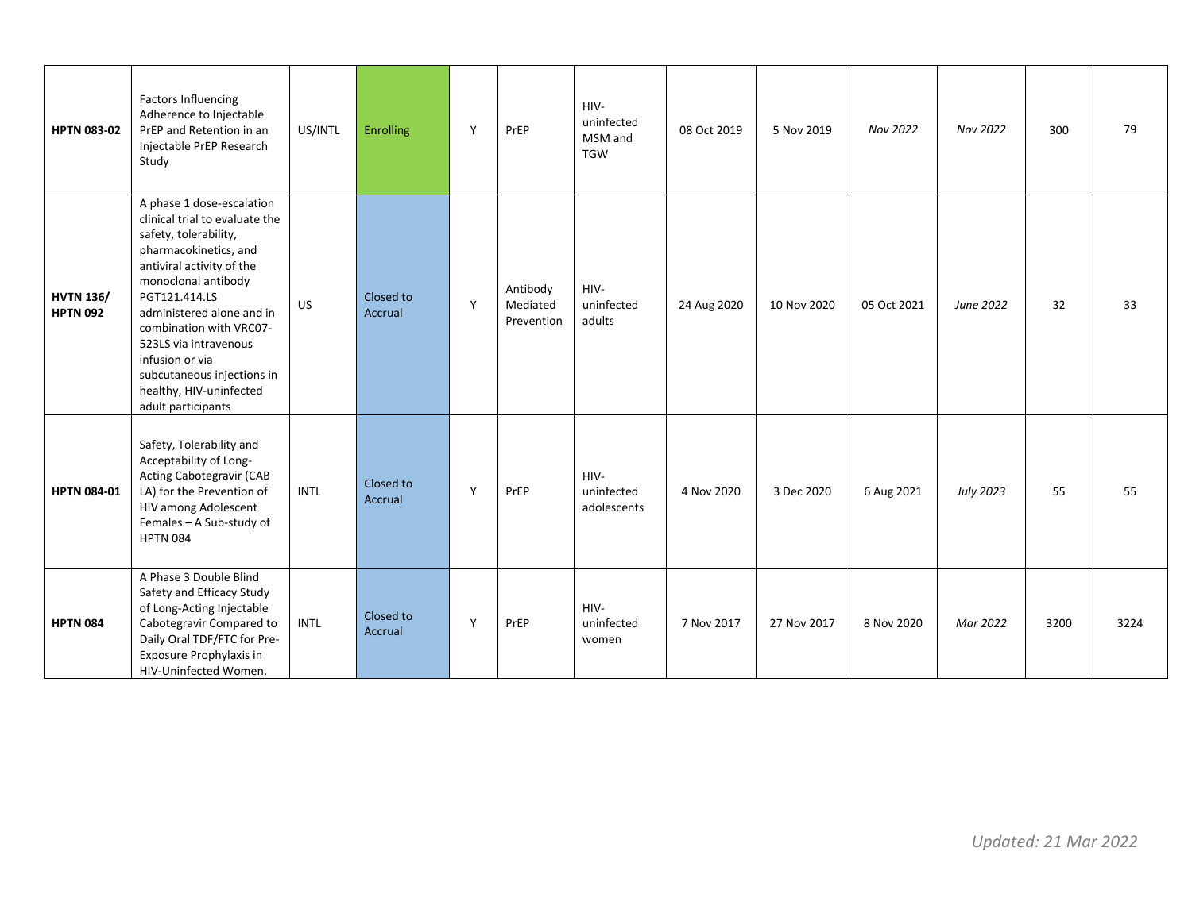| <b>HPTN 083-02</b>                  | <b>Factors Influencing</b><br>Adherence to Injectable<br>PrEP and Retention in an<br>Injectable PrEP Research<br>Study                                                                                                                                                                                                                                                | US/INTL     | <b>Enrolling</b>     | Y            | PrEP                               | HIV-<br>uninfected<br>MSM and<br><b>TGW</b> | 08 Oct 2019 | 5 Nov 2019  | Nov 2022    | Nov 2022         | 300  | 79   |
|-------------------------------------|-----------------------------------------------------------------------------------------------------------------------------------------------------------------------------------------------------------------------------------------------------------------------------------------------------------------------------------------------------------------------|-------------|----------------------|--------------|------------------------------------|---------------------------------------------|-------------|-------------|-------------|------------------|------|------|
| <b>HVTN 136/</b><br><b>HPTN 092</b> | A phase 1 dose-escalation<br>clinical trial to evaluate the<br>safety, tolerability,<br>pharmacokinetics, and<br>antiviral activity of the<br>monoclonal antibody<br>PGT121.414.LS<br>administered alone and in<br>combination with VRC07-<br>523LS via intravenous<br>infusion or via<br>subcutaneous injections in<br>healthy, HIV-uninfected<br>adult participants | <b>US</b>   | Closed to<br>Accrual | Y            | Antibody<br>Mediated<br>Prevention | HIV-<br>uninfected<br>adults                | 24 Aug 2020 | 10 Nov 2020 | 05 Oct 2021 | June 2022        | 32   | 33   |
| <b>HPTN 084-01</b>                  | Safety, Tolerability and<br>Acceptability of Long-<br><b>Acting Cabotegravir (CAB</b><br>LA) for the Prevention of<br>HIV among Adolescent<br>Females - A Sub-study of<br><b>HPTN 084</b>                                                                                                                                                                             | <b>INTL</b> | Closed to<br>Accrual | Y            | PrEP                               | HIV-<br>uninfected<br>adolescents           | 4 Nov 2020  | 3 Dec 2020  | 6 Aug 2021  | <b>July 2023</b> | 55   | 55   |
| <b>HPTN 084</b>                     | A Phase 3 Double Blind<br>Safety and Efficacy Study<br>of Long-Acting Injectable<br>Cabotegravir Compared to<br>Daily Oral TDF/FTC for Pre-<br>Exposure Prophylaxis in<br>HIV-Uninfected Women.                                                                                                                                                                       | <b>INTL</b> | Closed to<br>Accrual | $\mathsf{Y}$ | PrEP                               | HIV-<br>uninfected<br>women                 | 7 Nov 2017  | 27 Nov 2017 | 8 Nov 2020  | Mar 2022         | 3200 | 3224 |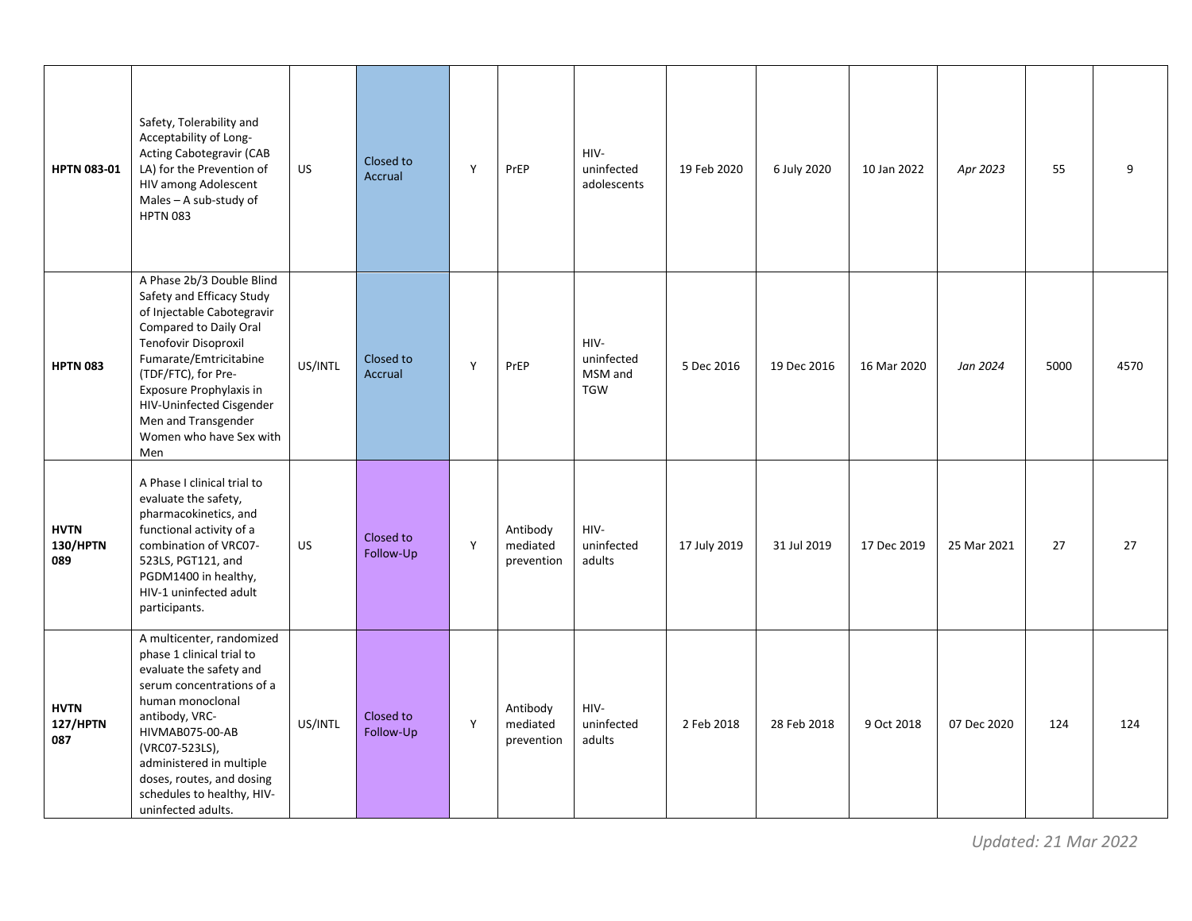| <b>HPTN 083-01</b>                    | Safety, Tolerability and<br>Acceptability of Long-<br><b>Acting Cabotegravir (CAB</b><br>LA) for the Prevention of<br>HIV among Adolescent<br>Males - A sub-study of<br><b>HPTN 083</b>                                                                                                                 | <b>US</b> | Closed to<br>Accrual   | Y | PrEP                               | HIV-<br>uninfected<br>adolescents           | 19 Feb 2020  | 6 July 2020 | 10 Jan 2022 | Apr 2023    | 55   | 9    |
|---------------------------------------|---------------------------------------------------------------------------------------------------------------------------------------------------------------------------------------------------------------------------------------------------------------------------------------------------------|-----------|------------------------|---|------------------------------------|---------------------------------------------|--------------|-------------|-------------|-------------|------|------|
| <b>HPTN 083</b>                       | A Phase 2b/3 Double Blind<br>Safety and Efficacy Study<br>of Injectable Cabotegravir<br>Compared to Daily Oral<br>Tenofovir Disoproxil<br>Fumarate/Emtricitabine<br>(TDF/FTC), for Pre-<br>Exposure Prophylaxis in<br>HIV-Uninfected Cisgender<br>Men and Transgender<br>Women who have Sex with<br>Men | US/INTL   | Closed to<br>Accrual   | Y | PrEP                               | HIV-<br>uninfected<br>MSM and<br><b>TGW</b> | 5 Dec 2016   | 19 Dec 2016 | 16 Mar 2020 | Jan 2024    | 5000 | 4570 |
| <b>HVTN</b><br><b>130/HPTN</b><br>089 | A Phase I clinical trial to<br>evaluate the safety,<br>pharmacokinetics, and<br>functional activity of a<br>combination of VRC07-<br>523LS, PGT121, and<br>PGDM1400 in healthy,<br>HIV-1 uninfected adult<br>participants.                                                                              | US        | Closed to<br>Follow-Up | Y | Antibody<br>mediated<br>prevention | HIV-<br>uninfected<br>adults                | 17 July 2019 | 31 Jul 2019 | 17 Dec 2019 | 25 Mar 2021 | 27   | 27   |
| <b>HVTN</b><br>127/HPTN<br>087        | A multicenter, randomized<br>phase 1 clinical trial to<br>evaluate the safety and<br>serum concentrations of a<br>human monoclonal<br>antibody, VRC-<br>HIVMAB075-00-AB<br>(VRC07-523LS),<br>administered in multiple<br>doses, routes, and dosing<br>schedules to healthy, HIV-<br>uninfected adults.  | US/INTL   | Closed to<br>Follow-Up | Y | Antibody<br>mediated<br>prevention | HIV-<br>uninfected<br>adults                | 2 Feb 2018   | 28 Feb 2018 | 9 Oct 2018  | 07 Dec 2020 | 124  | 124  |

*Updated: 21 Mar 2022*